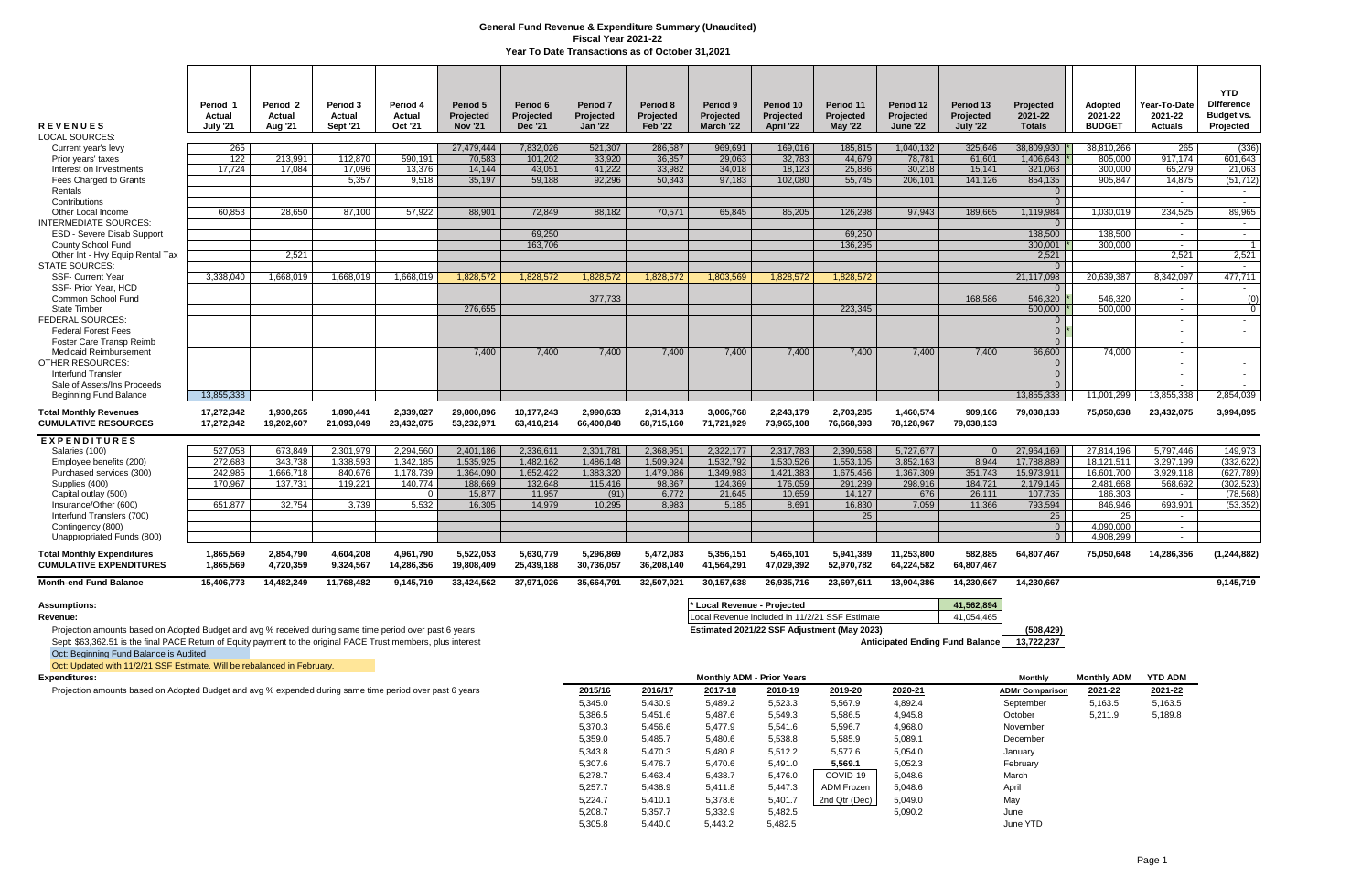Projection amounts based on Adopted Budget and avg % received during same time period over past 6 years **Estimated 2021/22 SSF Adjustment (May 2023) (508,429)** (508,429)<br>Sept: \$63,362.51 is the final PACE Return of Equit Sept: \$63,362.51 is the final PACE Return of Equity payment to the original PACE Trust members, plus interest Oct: Beginning Fund Balance is Audited

| <b>REVENUES</b><br><b>LOCAL SOURCES:</b>                            | Period 1<br>Actual<br><b>July '21</b> | Period <sub>2</sub><br>Actual<br><b>Aug '21</b> | Period 3<br>Actual<br>Sept '21 | Period 4<br>Actual<br>Oct '21 | Period 5<br>Projected<br><b>Nov '21</b> | Period 6<br>Projected<br><b>Dec '21</b> | Period <sub>7</sub><br>Projected<br><b>Jan '22</b> | Period 8<br>Projected<br><b>Feb '22</b> | Period 9<br><b>Projected</b><br>March '22 | Period 10<br>Projected<br>April '22 | Period 11<br>Projected<br><b>May '22</b> | Period 12<br>Projected<br><b>June '22</b> | Period 13<br>Projected<br>July '22 | Projected<br>2021-22<br><b>Totals</b> | <b>Adopted</b><br>2021-22<br><b>BUDGET</b> | Year-To-Date<br>2021-22<br><b>Actuals</b> | <b>YTD</b><br><b>Difference</b><br>Budget vs.<br>Projected |
|---------------------------------------------------------------------|---------------------------------------|-------------------------------------------------|--------------------------------|-------------------------------|-----------------------------------------|-----------------------------------------|----------------------------------------------------|-----------------------------------------|-------------------------------------------|-------------------------------------|------------------------------------------|-------------------------------------------|------------------------------------|---------------------------------------|--------------------------------------------|-------------------------------------------|------------------------------------------------------------|
| Current year's levy                                                 | 265                                   |                                                 |                                |                               | 27.479.444                              | 7.832.026                               | 521.307                                            | 286.587                                 | 969.691                                   | 169.016                             | 185.815                                  | 1,040,132                                 | 325.646                            | 38.809.930                            | 38.810.266                                 | 265                                       | (336)                                                      |
| Prior years' taxes                                                  | 122                                   | 213,991                                         | 112,870                        | 590,191                       | 70,583                                  | 101,202                                 | 33,920                                             | 36,857                                  | 29,063                                    | 32,783                              | 44,679                                   | 78,781                                    | 61,601                             | 1,406,643                             | 805,000                                    | 917,174                                   | 601,643                                                    |
| Interest on Investments                                             | 17.724                                | 17.084                                          | 17,096                         | 13.376                        | 14.144                                  | 43.051                                  | 41.222                                             | 33,982                                  | 34.018                                    | 18.123                              | 25.886                                   | 30.218                                    | 15,141                             | 321,063                               | 300.000                                    | 65.279                                    | 21,063                                                     |
| Fees Charged to Grants                                              |                                       |                                                 | 5.357                          | 9.518                         | 35.197                                  | 59.188                                  | 92.296                                             | 50.343                                  | 97.183                                    | 102,080                             | 55,745                                   | 206.101                                   | 141.126                            | 854.135                               | 905.847                                    | 14.875                                    | (51.712)                                                   |
| Rentals                                                             |                                       |                                                 |                                |                               |                                         |                                         |                                                    |                                         |                                           |                                     |                                          |                                           |                                    | $\overline{0}$                        |                                            | $\overline{\phantom{a}}$                  | $\sim$                                                     |
| Contributions                                                       |                                       |                                                 |                                |                               |                                         |                                         |                                                    |                                         |                                           |                                     |                                          |                                           |                                    | $\Omega$                              |                                            | $\sim$                                    | $\sim$                                                     |
| Other Local Income                                                  | 60.853                                | 28.650                                          | 87.100                         | 57.922                        | 88.901                                  | 72.849                                  | 88.182                                             | 70.571                                  | 65.845                                    | 85.205                              | 126.298                                  | 97.943                                    | 189.665                            | 1.119.984                             | 1.030.019                                  | 234,525                                   | 89,965                                                     |
| <b>INTERMEDIATE SOURCES:</b>                                        |                                       |                                                 |                                |                               |                                         |                                         |                                                    |                                         |                                           |                                     |                                          |                                           |                                    | $\Omega$                              |                                            | $\overline{\phantom{a}}$                  | $\sim$                                                     |
| <b>ESD - Severe Disab Support</b>                                   |                                       |                                                 |                                |                               |                                         | 69,250                                  |                                                    |                                         |                                           |                                     | 69,250                                   |                                           |                                    | 138,500                               | 138.500                                    | $\overline{\phantom{a}}$                  | $\sim$                                                     |
| County School Fund                                                  |                                       |                                                 |                                |                               |                                         | 163.706                                 |                                                    |                                         |                                           |                                     | 136.295                                  |                                           |                                    | 300.001                               | 300.000                                    | $\overline{\phantom{a}}$                  |                                                            |
| Other Int - Hvy Equip Rental Tax<br>STATE SOURCES:                  |                                       | 2,521                                           |                                |                               |                                         |                                         |                                                    |                                         |                                           |                                     |                                          |                                           |                                    | 2,521<br>$\Omega$                     |                                            | 2,521                                     | 2,521<br>$\sim$                                            |
| <b>SSF- Current Year</b>                                            | 3.338.040                             | 1,668,019                                       | 1.668.019                      | 1.668.019                     | 1.828.572                               | 1,828,572                               | 1.828.572                                          | 1.828.572                               | 1.803.569                                 | 1.828.572                           | 1.828.572                                |                                           |                                    | 21,117,098                            | 20,639,387                                 | 8.342.097                                 | 477,711                                                    |
| SSF- Prior Year, HCD                                                |                                       |                                                 |                                |                               |                                         |                                         |                                                    |                                         |                                           |                                     |                                          |                                           |                                    | $\overline{0}$                        |                                            | $\sim$                                    | $\sim$ $-$                                                 |
| Common School Fund                                                  |                                       |                                                 |                                |                               |                                         |                                         | 377,733                                            |                                         |                                           |                                     |                                          |                                           | 168,586                            | 546,320                               | 546,320                                    | $\overline{\phantom{a}}$                  | (0)                                                        |
| <b>State Timber</b>                                                 |                                       |                                                 |                                |                               | 276.655                                 |                                         |                                                    |                                         |                                           |                                     | 223.345                                  |                                           |                                    | 500.000                               | 500.000                                    | $\sim$                                    | $\Omega$                                                   |
| <b>FEDERAL SOURCES:</b>                                             |                                       |                                                 |                                |                               |                                         |                                         |                                                    |                                         |                                           |                                     |                                          |                                           |                                    | $\overline{0}$                        |                                            | $\sim$                                    | $\sim$                                                     |
| <b>Federal Forest Fees</b>                                          |                                       |                                                 |                                |                               |                                         |                                         |                                                    |                                         |                                           |                                     |                                          |                                           |                                    | $0^*$                                 |                                            | $\sim$                                    | $\sim$                                                     |
| Foster Care Transp Reimb                                            |                                       |                                                 |                                |                               |                                         |                                         |                                                    |                                         |                                           |                                     |                                          |                                           |                                    | $\overline{0}$                        |                                            | $\sim$                                    |                                                            |
| <b>Medicaid Reimbursement</b>                                       |                                       |                                                 |                                |                               | 7,400                                   | 7,400                                   | 7,400                                              | 7,400                                   | 7,400                                     | 7,400                               | 7,400                                    | 7,400                                     | 7,400                              | 66,600                                | 74.000                                     | $\sim$                                    |                                                            |
| <b>OTHER RESOURCES:</b>                                             |                                       |                                                 |                                |                               |                                         |                                         |                                                    |                                         |                                           |                                     |                                          |                                           |                                    | $\overline{0}$                        |                                            | $\sim$                                    | $\sim$                                                     |
| <b>Interfund Transfer</b>                                           |                                       |                                                 |                                |                               |                                         |                                         |                                                    |                                         |                                           |                                     |                                          |                                           |                                    | $\overline{0}$                        |                                            | $\sim$                                    | $\sim$                                                     |
| Sale of Assets/Ins Proceeds                                         |                                       |                                                 |                                |                               |                                         |                                         |                                                    |                                         |                                           |                                     |                                          |                                           |                                    | $\overline{0}$                        |                                            | $\sim$                                    | $\sim$                                                     |
| <b>Beginning Fund Balance</b>                                       | 13.855.338                            |                                                 |                                |                               |                                         |                                         |                                                    |                                         |                                           |                                     |                                          |                                           |                                    | 13.855.338                            | 11,001,299                                 | 13.855.338                                | 2,854,039                                                  |
| <b>Total Monthly Revenues</b><br><b>CUMULATIVE RESOURCES</b>        | 17,272,342<br>17,272,342              | 1,930,265<br>19.202.607                         | 1,890,441<br>21.093.049        | 2,339,027<br>23,432,075       | 29.800.896<br>53.232.971                | 10,177,243<br>63.410.214                | 2.990.633<br>66.400.848                            | 2,314,313<br>68.715.160                 | 3.006.768<br>71.721.929                   | 2,243,179<br>73.965.108             | 2,703,285<br>76.668.393                  | 1,460,574<br>78,128,967                   | 909,166<br>79.038.133              | 79,038,133                            | 75,050,638                                 | 23,432,075                                | 3,994,895                                                  |
| <b>EXPENDITURES</b>                                                 |                                       |                                                 |                                |                               |                                         |                                         |                                                    |                                         |                                           |                                     |                                          |                                           |                                    |                                       |                                            |                                           |                                                            |
| Salaries (100)                                                      | 527,058                               | 673,849                                         | 2,301,979                      | 2.294.560                     | 2,401,186                               | 2,336,611                               | 2,301,781                                          | 2,368,951                               | 2,322,177                                 | 2,317,783                           | 2,390,558                                | 5,727,677                                 | $\Omega$                           | 27,964,169                            | 27,814,196                                 | 5,797,446                                 | 149,973                                                    |
| Employee benefits (200)                                             | 272,683                               | 343,738                                         | 1,338,593                      | 1,342,185                     | 1,535,925                               | 1,482,162                               | 1,486,148                                          | 1,509,924                               | 1,532,792                                 | 1,530,526                           | 1,553,105                                | 3,852,163                                 | 8,944                              | 17,788,889                            | 18,121,511                                 | 3.297.199                                 | (332, 622)                                                 |
| Purchased services (300)                                            | 242,985                               | 1,666,718                                       | 840,676                        | 1,178,739                     | 1,364,090                               | 1,652,422                               | 1,383,320                                          | 1,479,086                               | 1,349,983                                 | 1,421,383                           | 1,675,456                                | 1,367,309                                 | 351,743                            | 15,973,911                            | 16,601,700                                 | 3,929,118                                 | (627, 789)                                                 |
| Supplies (400)                                                      | 170.967                               | 137,731                                         | 119,221                        | 140,774                       | 188,669                                 | 132,648                                 | 115,416                                            | 98,367                                  | 124,369                                   | 176,059                             | 291,289                                  | 298,916                                   | 184,721                            | 2,179,145                             | 2,481,668                                  | 568,692                                   | (302, 523)                                                 |
| Capital outlay (500)                                                |                                       |                                                 |                                | $\Omega$                      | 15.877                                  | 11.957                                  | (91)                                               | 6.772                                   | 21,645                                    | 10.659                              | 14.127                                   | 676                                       | 26.111                             | 107.735                               | 186.303                                    | $\sim$                                    | (78.568)                                                   |
| Insurance/Other (600)                                               | 651,877                               | 32,754                                          | 3,739                          | 5.532                         | 16,305                                  | 14,979                                  | 10,295                                             | 8,983                                   | 5,185                                     | 8,691                               | 16,830                                   | 7,059                                     | 11,366                             | 793,594                               | 846,946                                    | 693,901                                   | (53, 352)                                                  |
| Interfund Transfers (700)                                           |                                       |                                                 |                                |                               |                                         |                                         |                                                    |                                         |                                           |                                     | 25                                       |                                           |                                    | 25                                    | 25                                         | $\sim$                                    |                                                            |
| Contingency (800)                                                   |                                       |                                                 |                                |                               |                                         |                                         |                                                    |                                         |                                           |                                     |                                          |                                           |                                    | $\overline{0}$                        | 4,090,000                                  | $\sim$                                    |                                                            |
| Unappropriated Funds (800)                                          |                                       |                                                 |                                |                               |                                         |                                         |                                                    |                                         |                                           |                                     |                                          |                                           |                                    | $\overline{0}$                        | 4,908,299                                  | $\sim$                                    |                                                            |
| <b>Total Monthly Expenditures</b><br><b>CUMULATIVE EXPENDITURES</b> | 1,865,569<br>1,865,569                | 2,854,790<br>4,720,359                          | 4,604,208<br>9,324,567         | 4,961,790<br>14,286,356       | 5,522,053<br>19,808,409                 | 5,630,779<br>25,439,188                 | 5,296,869<br>30,736,057                            | 5,472,083<br>36,208,140                 | 5,356,151<br>41,564,291                   | 5,465,101<br>47,029,392             | 5,941,389<br>52,970,782                  | 11,253,800<br>64,224,582                  | 582,885<br>64,807,467              | 64,807,467                            | 75,050,648                                 | 14,286,356                                | (1, 244, 882)                                              |
| <b>Month-end Fund Balance</b>                                       | 15,406,773                            | 14,482,249                                      | 11,768,482                     | 9,145,719                     | 33,424,562                              | 37,971,026                              | 35,664,791                                         | 32,507,021                              | 30,157,638                                | 26,935,716                          | 23,697,611                               | 13,904,386                                | 14,230,667                         | 14,230,667                            |                                            |                                           | 9,145,719                                                  |

| Assumptions:                                                                                            | * Local Revenue - Projected                    | 1.562.894  |
|---------------------------------------------------------------------------------------------------------|------------------------------------------------|------------|
| Revenue:                                                                                                | Local Revenue included in 11/2/21 SSF Estimate | 41,054,465 |
| Projection amounts based on Adopted Budget and avg % received during same time period over past 6 years | Estimated 2021/22 SSF Adjustment (May 2023)    |            |

Oct: Updated with 11/2/21 SSF Estimate. Will be rebalanced in February.

| <b>Expenditures:</b>                                                                                    | <b>Monthly ADM - Prior Years</b> |         |         |         |               |         | Monthly                | <b>Monthly ADM</b> | <b>YTD ADM</b> |
|---------------------------------------------------------------------------------------------------------|----------------------------------|---------|---------|---------|---------------|---------|------------------------|--------------------|----------------|
| Projection amounts based on Adopted Budget and avg % expended during same time period over past 6 years | 2015/16                          | 2016/17 | 2017-18 | 2018-19 | 2019-20       | 2020-21 | <b>ADMr Comparison</b> | 2021-22            | 2021-22        |
|                                                                                                         | 5,345.0                          | 5,430.9 | 5,489.2 | 5,523.3 | 5,567.9       | 4,892.4 | September              | 5,163.5            | 5,163.5        |
|                                                                                                         | 5,386.5                          | 5,451.6 | 5,487.6 | 5,549.3 | 5,586.5       | 4,945.8 | October                | 5,211.9            | 5,189.8        |
|                                                                                                         | 5,370.3                          | 5,456.6 | 5,477.9 | 5,541.6 | 5,596.7       | 4,968.0 | November               |                    |                |
|                                                                                                         | 5,359.0                          | 5,485.7 | 5,480.6 | 5,538.8 | 5,585.9       | 5,089.1 | December               |                    |                |
|                                                                                                         | 5,343.8                          | 5,470.3 | 5,480.8 | 5,512.2 | 5,577.6       | 5,054.0 | January                |                    |                |
|                                                                                                         | 5,307.6                          | 5,476.7 | 5,470.6 | 5,491.0 | 5,569.1       | 5,052.3 | February               |                    |                |
|                                                                                                         | 5,278.7                          | 5,463.4 | 5,438.7 | 5,476.0 | COVID-19      | 5,048.6 | March                  |                    |                |
|                                                                                                         | 5,257.7                          | 5,438.9 | 5,411.8 | 5,447.3 | ADM Frozen    | 5,048.6 | April                  |                    |                |
|                                                                                                         | 5,224.7                          | 5,410.1 | 5,378.6 | 5,401.7 | 2nd Qtr (Dec) | 5,049.0 | May                    |                    |                |
|                                                                                                         | 5,208.7                          | 5,357.7 | 5,332.9 | 5,482.5 |               | 5,090.2 | June                   |                    |                |
|                                                                                                         | 5,305.8                          | 5,440.0 | 5,443.2 | 5,482.5 |               |         | June YTD               |                    |                |

## **General Fund Revenue & Expenditure Summary (Unaudited) Fiscal Year 2021-22 Year To Date Transactions as of October 31,2021**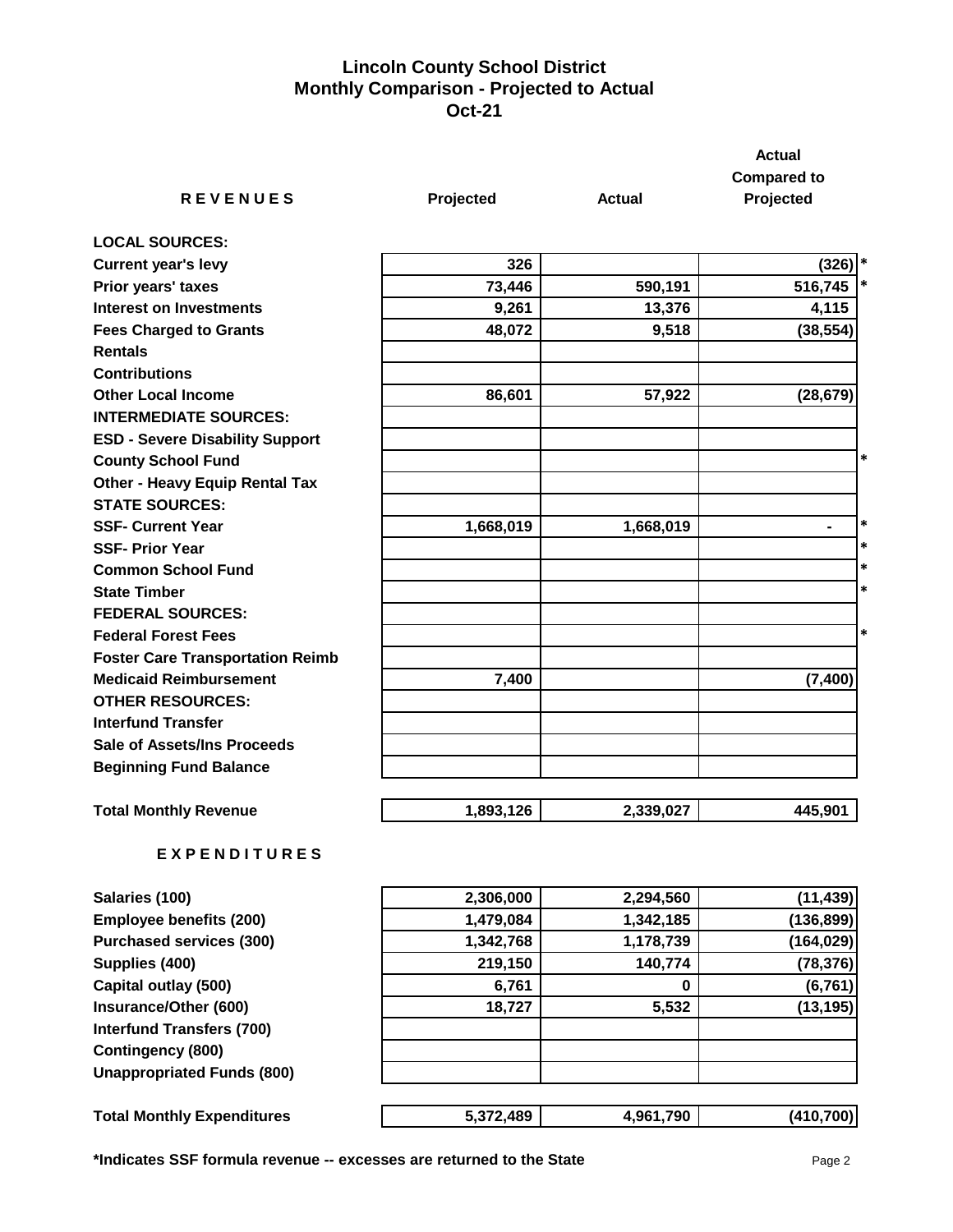## **Lincoln County School District Monthly Comparison - Projected to Actual Oct-21**

|                                                                     |           |               | <b>Actual</b>        |
|---------------------------------------------------------------------|-----------|---------------|----------------------|
|                                                                     |           |               | <b>Compared to</b>   |
| <b>REVENUES</b>                                                     | Projected | <b>Actual</b> | Projected            |
| <b>LOCAL SOURCES:</b>                                               |           |               |                      |
| <b>Current year's levy</b>                                          | 326       |               | $(326)$ <sup>*</sup> |
| Prior years' taxes                                                  | 73,446    | 590,191       | $\ast$<br>516,745    |
| <b>Interest on Investments</b>                                      | 9,261     | 13,376        | 4,115                |
| <b>Fees Charged to Grants</b><br><b>Rentals</b>                     | 48,072    | 9,518         | (38, 554)            |
| <b>Contributions</b>                                                |           |               |                      |
| <b>Other Local Income</b><br><b>INTERMEDIATE SOURCES:</b>           | 86,601    | 57,922        | (28, 679)            |
| <b>ESD - Severe Disability Support</b><br><b>County School Fund</b> |           |               | $\ast$               |
| <b>Other - Heavy Equip Rental Tax</b><br><b>STATE SOURCES:</b>      |           |               |                      |
| <b>SSF- Current Year</b>                                            | 1,668,019 | 1,668,019     | $\ast$               |
| <b>SSF- Prior Year</b>                                              |           |               | *                    |
| <b>Common School Fund</b>                                           |           |               | *                    |
| <b>State Timber</b>                                                 |           |               | $\ast$               |
| <b>FEDERAL SOURCES:</b>                                             |           |               |                      |
| <b>Federal Forest Fees</b>                                          |           |               | $\ast$               |
| <b>Foster Care Transportation Reimb</b>                             |           |               |                      |
| <b>Medicaid Reimbursement</b>                                       | 7,400     |               | (7, 400)             |
| <b>OTHER RESOURCES:</b>                                             |           |               |                      |
| <b>Interfund Transfer</b>                                           |           |               |                      |
| <b>Sale of Assets/Ins Proceeds</b>                                  |           |               |                      |
| <b>Beginning Fund Balance</b>                                       |           |               |                      |
| <b>Total Monthly Revenue</b>                                        | 1,893,126 | 2,339,027     | 445,901              |
| <b>EXPENDITURES</b>                                                 |           |               |                      |

| Salaries (100)                    | 2,306,000 | 2,294,560 | (11, 439)  |
|-----------------------------------|-----------|-----------|------------|
| Employee benefits (200)           | 1,479,084 | 1,342,185 | (136, 899) |
| <b>Purchased services (300)</b>   | 1,342,768 | 1,178,739 | (164, 029) |
| Supplies (400)                    | 219,150   | 140,774   | (78, 376)  |
| Capital outlay (500)              | 6,761     | 0         | (6, 761)   |
| Insurance/Other (600)             | 18,727    | 5,532     | (13, 195)  |
| <b>Interfund Transfers (700)</b>  |           |           |            |
| Contingency (800)                 |           |           |            |
| <b>Unappropriated Funds (800)</b> |           |           |            |
| <b>Total Monthly Expenditures</b> | 5,372,489 | 4,961,790 | (410, 700) |

**\*Indicates SSF formula revenue -- excesses are returned to the State** Page 2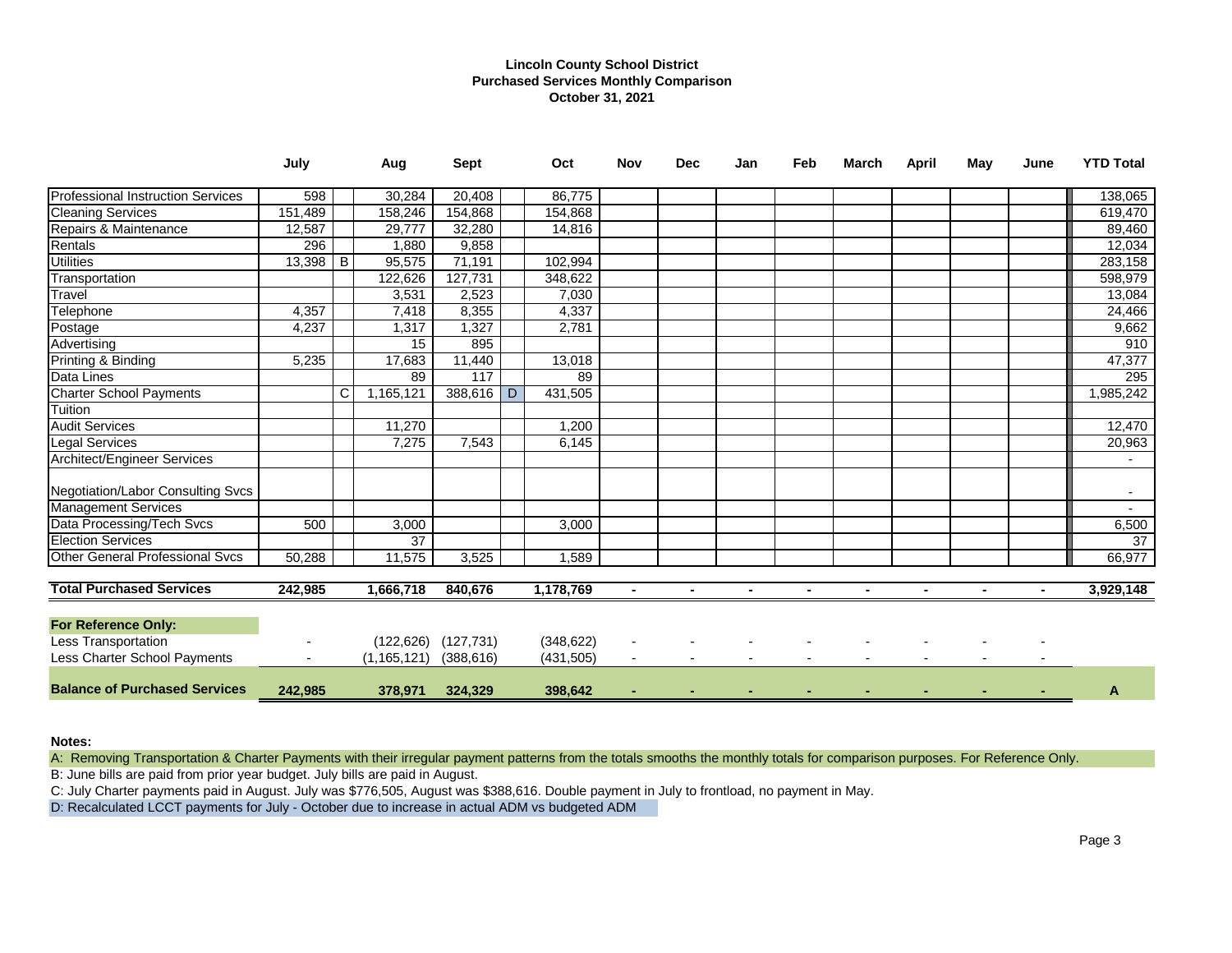## **Lincoln County School District Purchased Services Monthly Comparison October 31, 2021**

|                                          | July    |          | Aug           | <b>Sept</b> |                | Oct        | <b>Nov</b>     | <b>Dec</b> | Jan | Feb | March | April | May | June | <b>YTD Total</b> |
|------------------------------------------|---------|----------|---------------|-------------|----------------|------------|----------------|------------|-----|-----|-------|-------|-----|------|------------------|
| <b>Professional Instruction Services</b> | 598     |          | 30,284        | 20,408      |                | 86,775     |                |            |     |     |       |       |     |      | 138,065          |
| <b>Cleaning Services</b>                 | 151,489 |          | 158,246       | 154,868     |                | 154,868    |                |            |     |     |       |       |     |      | 619,470          |
| Repairs & Maintenance                    | 12,587  |          | 29,777        | 32,280      |                | 14,816     |                |            |     |     |       |       |     |      | 89,460           |
| Rentals                                  | 296     |          | 1,880         | 9,858       |                |            |                |            |     |     |       |       |     |      | 12,034           |
| <b>Utilities</b>                         | 13,398  | <b>B</b> | 95,575        | 71,191      |                | 102,994    |                |            |     |     |       |       |     |      | 283,158          |
| Transportation                           |         |          | 122,626       | 127,731     |                | 348,622    |                |            |     |     |       |       |     |      | 598,979          |
| Travel                                   |         |          | 3,531         | 2,523       |                | 7,030      |                |            |     |     |       |       |     |      | 13,084           |
| Telephone                                | 4,357   |          | 7,418         | 8,355       |                | 4,337      |                |            |     |     |       |       |     |      | 24,466           |
| Postage                                  | 4,237   |          | 1,317         | 1,327       |                | 2,781      |                |            |     |     |       |       |     |      | 9,662            |
| Advertising                              |         |          | 15            | 895         |                |            |                |            |     |     |       |       |     |      | 910              |
| Printing & Binding                       | 5,235   |          | 17,683        | 11,440      |                | 13,018     |                |            |     |     |       |       |     |      | 47,377           |
| Data Lines                               |         |          | 89            | 117         |                | 89         |                |            |     |     |       |       |     |      | 295              |
| <b>Charter School Payments</b>           |         | C        | 1,165,121     | 388,616     | $\overline{D}$ | 431,505    |                |            |     |     |       |       |     |      | 1,985,242        |
| Tuition                                  |         |          |               |             |                |            |                |            |     |     |       |       |     |      |                  |
| <b>Audit Services</b>                    |         |          | 11,270        |             |                | 1,200      |                |            |     |     |       |       |     |      | 12,470           |
| <b>Legal Services</b>                    |         |          | 7,275         | 7,543       |                | 6,145      |                |            |     |     |       |       |     |      | 20,963           |
| Architect/Engineer Services              |         |          |               |             |                |            |                |            |     |     |       |       |     |      |                  |
| Negotiation/Labor Consulting Svcs        |         |          |               |             |                |            |                |            |     |     |       |       |     |      |                  |
| <b>Management Services</b>               |         |          |               |             |                |            |                |            |     |     |       |       |     |      | $\overline{a}$   |
| Data Processing/Tech Svcs                | 500     |          | 3,000         |             |                | 3,000      |                |            |     |     |       |       |     |      | 6,500            |
| <b>Election Services</b>                 |         |          | 37            |             |                |            |                |            |     |     |       |       |     |      | 37               |
| <b>Other General Professional Svcs</b>   | 50,288  |          | 11,575        | 3,525       |                | 1,589      |                |            |     |     |       |       |     |      | 66,977           |
| <b>Total Purchased Services</b>          | 242,985 |          | 1,666,718     | 840,676     |                | 1,178,769  | $\blacksquare$ |            |     |     |       |       |     |      | 3,929,148        |
| <b>For Reference Only:</b>               |         |          |               |             |                |            |                |            |     |     |       |       |     |      |                  |
| <b>Less Transportation</b>               |         |          | (122, 626)    | (127, 731)  |                | (348, 622) |                |            |     |     |       |       |     |      |                  |
| Less Charter School Payments             |         |          | (1, 165, 121) | (388, 616)  |                | (431, 505) |                |            |     |     |       |       |     |      |                  |
| <b>Balance of Purchased Services</b>     | 242,985 |          | 378,971       | 324,329     |                | 398,642    |                |            |     |     |       |       |     |      | A                |

### **Notes:**

A: Removing Transportation & Charter Payments with their irregular payment patterns from the totals smooths the monthly totals for comparison purposes. For Reference Only.

B: June bills are paid from prior year budget. July bills are paid in August.

C: July Charter payments paid in August. July was \$776,505, August was \$388,616. Double payment in July to frontload, no payment in May.

D: Recalculated LCCT payments for July - October due to increase in actual ADM vs budgeted ADM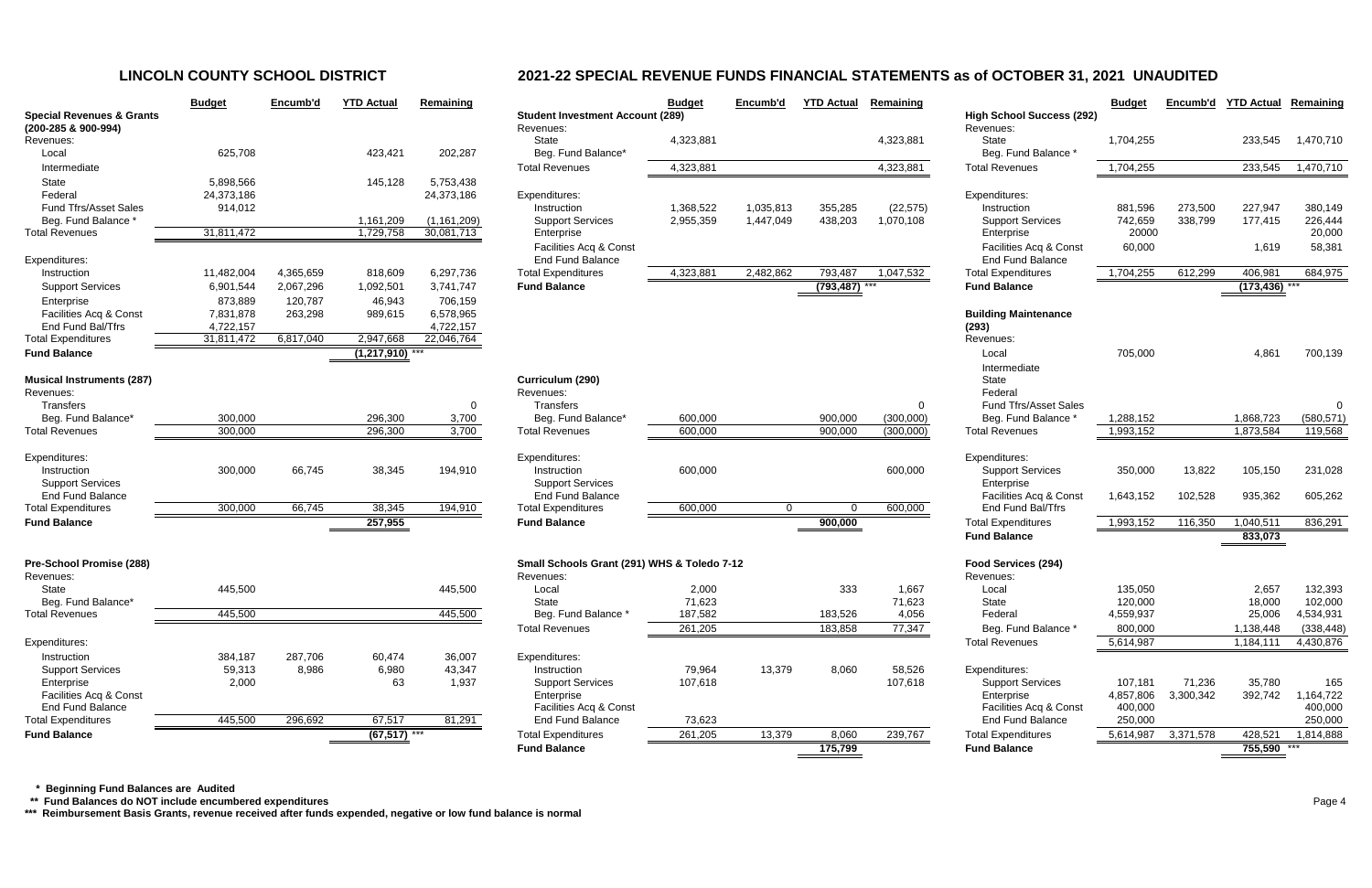|                                                                                            | <b>Budget</b>                      | Encumb'd             | <b>YTD Actual</b>          | Remaining                   |                                                         |
|--------------------------------------------------------------------------------------------|------------------------------------|----------------------|----------------------------|-----------------------------|---------------------------------------------------------|
| <b>Special Revenues &amp; Grants</b><br>(200-285 & 900-994)<br>Revenues:                   |                                    |                      |                            |                             | <b>Student Inve</b><br>Revenues:<br><b>State</b>        |
| Local<br>Intermediate                                                                      | 625,708                            |                      | 423,421                    | 202,287                     | Beg. Fund<br><b>Total Revenu</b>                        |
| State<br>Federal<br><b>Fund Tfrs/Asset Sales</b>                                           | 5,898,566<br>24,373,186<br>914,012 |                      | 145,128                    | 5,753,438<br>24,373,186     | Expenditures:<br>Instruction                            |
| Beg. Fund Balance *<br><b>Total Revenues</b>                                               | 31,811,472                         |                      | 1,161,209<br>1,729,758     | (1, 161, 209)<br>30,081,713 | Support S<br>Enterprise                                 |
| Expenditures:<br>Instruction                                                               | 11,482,004                         | 4,365,659            | 818,609                    | 6,297,736                   | Facilities /<br><b>End Fund</b><br><b>Total Expendi</b> |
| <b>Support Services</b><br>Enterprise                                                      | 6,901,544<br>873,889               | 2,067,296<br>120,787 | 1,092,501<br>46,943        | 3,741,747<br>706,159        | <b>Fund Balanc</b>                                      |
| Facilities Acq & Const<br>End Fund Bal/Tfrs                                                | 7,831,878<br>4,722,157             | 263,298              | 989,615                    | 6,578,965<br>4,722,157      |                                                         |
| <b>Total Expenditures</b><br><b>Fund Balance</b>                                           | 31,811,472                         | 6,817,040            | 2,947,668<br>(1, 217, 910) | 22,046,764                  |                                                         |
| <b>Musical Instruments (287)</b><br>Revenues:<br><b>Transfers</b>                          |                                    |                      |                            |                             | Curriculum (<br>Revenues:<br><b>Transfers</b>           |
| Beg. Fund Balance*                                                                         | 300,000                            |                      | 296,300                    | 0<br>3,700                  | Beg. Fund                                               |
| <b>Total Revenues</b>                                                                      | 300,000                            |                      | 296,300                    | 3,700                       | <b>Total Revenu</b>                                     |
| Expenditures:<br>Instruction<br><b>Support Services</b><br><b>End Fund Balance</b>         | 300,000                            | 66,745               | 38,345                     | 194,910                     | Expenditures:<br>Instruction<br>Support S<br>End Fund   |
| <b>Total Expenditures</b>                                                                  | 300,000                            | 66,745               | 38,345                     | 194,910                     | <b>Total Expendi</b>                                    |
| <b>Fund Balance</b>                                                                        |                                    |                      | 257,955                    |                             | <b>Fund Balanc</b>                                      |
| Pre-School Promise (288)<br>Revenues:<br><b>State</b>                                      | 445,500                            |                      |                            | 445,500                     | <b>Small School</b><br>Revenues:<br>Local               |
| Beg. Fund Balance*                                                                         |                                    |                      |                            |                             | <b>State</b>                                            |
| <b>Total Revenues</b>                                                                      | 445,500                            |                      |                            | 445,500                     | Beg. Func<br><b>Total Revenu</b>                        |
| Expenditures:                                                                              |                                    |                      |                            |                             |                                                         |
| Instruction                                                                                | 384,187                            | 287,706              | 60,474                     | 36,007                      | Expenditures:<br>Instruction                            |
| <b>Support Services</b><br>Enterprise<br>Facilities Acq & Const<br><b>End Fund Balance</b> | 59,313<br>2,000                    | 8,986                | 6,980<br>63                | 43,347<br>1,937             | Support S<br>Enterprise                                 |
| <b>Total Expenditures</b>                                                                  | 445,500                            | 296,692              | 67,517                     | 81,291                      | Facilities /<br>End Fund                                |
| <b>Fund Balance</b>                                                                        |                                    |                      | (67, 517)                  |                             | <b>Total Expendi</b>                                    |

|                                                             | <b>Budget</b> | Encumb'd  | <b>YTD Actual</b> | Remaining     |                                                      | <b>Budget</b> | Encumb'd    | <b>YTD Actual</b> | Remaining |                                               | <b>Budget</b> | Encumb'd  | <b>YTD Actual</b> | Remaining  |
|-------------------------------------------------------------|---------------|-----------|-------------------|---------------|------------------------------------------------------|---------------|-------------|-------------------|-----------|-----------------------------------------------|---------------|-----------|-------------------|------------|
| <b>Special Revenues &amp; Grants</b><br>(200-285 & 900-994) |               |           |                   |               | <b>Student Investment Account (289)</b><br>Revenues: |               |             |                   |           | <b>High School Success (292)</b><br>Revenues: |               |           |                   |            |
| Revenues:                                                   |               |           |                   |               | State                                                | 4,323,881     |             |                   | 4,323,881 | State                                         | 1,704,255     |           | 233,545           | 1,470,710  |
| Local                                                       | 625,708       |           | 423,421           | 202,287       | Beg. Fund Balance*                                   |               |             |                   |           | Beg. Fund Balance *                           |               |           |                   |            |
| Intermediate                                                |               |           |                   |               | <b>Total Revenues</b>                                | 4,323,881     |             |                   | 4,323,881 | <b>Total Revenues</b>                         | 1,704,255     |           | 233,545           | 1,470,710  |
| State                                                       | 5,898,566     |           | 145,128           | 5,753,438     |                                                      |               |             |                   |           |                                               |               |           |                   |            |
| Federal                                                     | 24,373,186    |           |                   | 24,373,186    | Expenditures:                                        |               |             |                   |           | Expenditures:                                 |               |           |                   |            |
| Fund Tfrs/Asset Sales                                       | 914,012       |           |                   |               | Instruction                                          | 1,368,522     | 1,035,813   | 355,285           | (22, 575) | Instruction                                   | 881,596       | 273,500   | 227,947           | 380,149    |
| Beg. Fund Balance *                                         |               |           | 1,161,209         | (1, 161, 209) | <b>Support Services</b>                              | 2,955,359     | 1,447,049   | 438,203           | 1,070,108 | <b>Support Services</b>                       | 742,659       | 338,799   | 177,415           | 226,444    |
| <b>Total Revenues</b>                                       | 31,811,472    |           | 1,729,758         | 30,081,713    | Enterprise                                           |               |             |                   |           | Enterprise                                    | 20000         |           |                   | 20,000     |
|                                                             |               |           |                   |               | Facilities Acq & Const                               |               |             |                   |           | Facilities Acq & Const                        | 60,000        |           | 1,619             | 58,381     |
| Expenditures:                                               |               |           |                   |               | <b>End Fund Balance</b>                              |               |             |                   |           | <b>End Fund Balance</b>                       |               |           |                   |            |
| Instruction                                                 | 11,482,004    | 4,365,659 | 818,609           | 6,297,736     | <b>Total Expenditures</b>                            | 4,323,881     | 2,482,862   | 793,487           | 1,047,532 | <b>Total Expenditures</b>                     | 1,704,255     | 612,299   | 406,981           | 684,975    |
| <b>Support Services</b>                                     | 6,901,544     | 2,067,296 | 1,092,501         | 3,741,747     | <b>Fund Balance</b>                                  |               |             | (793, 487)        |           | <b>Fund Balance</b>                           |               |           | (173, 436)        |            |
| Enterprise                                                  | 873,889       | 120,787   | 46,943            | 706,159       |                                                      |               |             |                   |           |                                               |               |           |                   |            |
| Facilities Acq & Const                                      | 7,831,878     | 263,298   | 989,615           | 6,578,965     |                                                      |               |             |                   |           | <b>Building Maintenance</b>                   |               |           |                   |            |
| End Fund Bal/Tfrs                                           | 4,722,157     |           |                   | 4,722,157     |                                                      |               |             |                   |           | (293)                                         |               |           |                   |            |
| <b>Total Expenditures</b>                                   | 31,811,472    | 6,817,040 | 2,947,668         | 22,046,764    |                                                      |               |             |                   |           | Revenues:                                     |               |           |                   |            |
| <b>Fund Balance</b>                                         |               |           | $(1,217,910)$ *** |               |                                                      |               |             |                   |           | Local                                         | 705,000       |           | 4,861             | 700,139    |
|                                                             |               |           |                   |               |                                                      |               |             |                   |           | Intermediate                                  |               |           |                   |            |
| <b>Musical Instruments (287)</b>                            |               |           |                   |               | Curriculum (290)                                     |               |             |                   |           | State                                         |               |           |                   |            |
| Revenues:<br>Transfers                                      |               |           |                   |               | Revenues:<br>Transfers                               |               |             |                   |           | Federal<br><b>Fund Tfrs/Asset Sales</b>       |               |           |                   |            |
| Beg. Fund Balance*                                          | 300,000       |           | 296,300           | 0<br>3,700    | Beg. Fund Balance*                                   | 600,000       |             | 900,000           | (300,000) | Beg. Fund Balance *                           | 1,288,152     |           | 1,868,723         | (580, 571) |
| <b>Total Revenues</b>                                       | 300,000       |           | 296,300           | 3,700         | <b>Total Revenues</b>                                | 600,000       |             | 900,000           | (300,000) | <b>Total Revenues</b>                         | 1,993,152     |           | 1,873,584         | 119,568    |
|                                                             |               |           |                   |               |                                                      |               |             |                   |           |                                               |               |           |                   |            |
| Expenditures:                                               |               |           |                   |               | Expenditures:                                        |               |             |                   |           | Expenditures:                                 |               |           |                   |            |
| Instruction                                                 | 300,000       | 66,745    | 38,345            | 194,910       | Instruction                                          | 600,000       |             |                   | 600,000   | <b>Support Services</b>                       | 350,000       | 13,822    | 105,150           | 231,028    |
| <b>Support Services</b>                                     |               |           |                   |               | <b>Support Services</b>                              |               |             |                   |           | Enterprise                                    |               |           |                   |            |
| <b>End Fund Balance</b>                                     |               |           |                   |               | End Fund Balance                                     |               |             |                   |           | Facilities Acq & Const                        | 1,643,152     | 102,528   | 935,362           | 605,262    |
| <b>Total Expenditures</b>                                   | 300,000       | 66,745    | 38,345            | 194,910       | <b>Total Expenditures</b>                            | 600,000       | $\mathbf 0$ |                   | 600,000   | End Fund Bal/Tfrs                             |               |           |                   |            |
| <b>Fund Balance</b>                                         |               |           | 257,955           |               | <b>Fund Balance</b>                                  |               |             | 900,000           |           | <b>Total Expenditures</b>                     | 1,993,152     | 116,350   | 1,040,511         | 836,291    |
|                                                             |               |           |                   |               |                                                      |               |             |                   |           | <b>Fund Balance</b>                           |               |           | 833,073           |            |
| Pre-School Promise (288)                                    |               |           |                   |               | Small Schools Grant (291) WHS & Toledo 7-12          |               |             |                   |           | Food Services (294)                           |               |           |                   |            |
| Revenues:                                                   |               |           |                   |               | Revenues:                                            |               |             |                   |           | Revenues:                                     |               |           |                   |            |
| State                                                       | 445,500       |           |                   | 445,500       | Local                                                | 2,000         |             | 333               | 1,667     | Local                                         | 135,050       |           | 2,657             | 132,393    |
| Beg. Fund Balance*                                          |               |           |                   |               | State                                                | 71,623        |             |                   | 71,623    | State                                         | 120,000       |           | 18,000            | 102,000    |
| <b>Total Revenues</b>                                       | 445,500       |           |                   | 445,500       | Beg. Fund Balance *                                  | 187,582       |             | 183,526           | 4,056     | Federal                                       | 4,559,937     |           | 25,006            | 4,534,931  |
|                                                             |               |           |                   |               | <b>Total Revenues</b>                                | 261,205       |             | 183,858           | 77,347    | Beg. Fund Balance *                           | 800,000       |           | 1,138,448         | (338, 448) |
| Expenditures:                                               |               |           |                   |               |                                                      |               |             |                   |           | <b>Total Revenues</b>                         | 5,614,987     |           | 1,184,111         | 4,430,876  |
| Instruction                                                 | 384,187       | 287,706   | 60,474            | 36,007        | Expenditures:                                        |               |             |                   |           |                                               |               |           |                   |            |
| <b>Support Services</b>                                     | 59,313        | 8,986     | 6,980             | 43,347        | Instruction                                          | 79,964        | 13,379      | 8,060             | 58,526    | Expenditures:                                 |               |           |                   |            |
| Enterprise                                                  | 2,000         |           | 63                | 1,937         | <b>Support Services</b>                              | 107,618       |             |                   | 107,618   | <b>Support Services</b>                       | 107,181       | 71,236    | 35,780            | 165        |
| Facilities Acq & Const                                      |               |           |                   |               | Enterprise                                           |               |             |                   |           | Enterprise                                    | 4,857,806     | 3,300,342 | 392,742           | 1,164,722  |
| <b>End Fund Balance</b>                                     |               |           |                   |               | Facilities Acq & Const                               |               |             |                   |           | Facilities Acq & Const                        | 400,000       |           |                   | 400,000    |
| <b>Total Expenditures</b>                                   | 445,500       | 296,692   | 67,517            | 81,291        | End Fund Balance                                     | 73,623        |             |                   |           | <b>End Fund Balance</b>                       | 250,000       |           |                   | 250,000    |
| <b>Fund Balance</b>                                         |               |           | $(67, 517)$ ***   |               | <b>Total Expenditures</b>                            | 261,205       | 13,379      | 8,060             | 239,767   | <b>Total Expenditures</b>                     | 5,614,987     | 3,371,578 | 428,521           | 1,814,888  |
|                                                             |               |           |                   |               | <b>Fund Balance</b>                                  |               |             | 175,799           |           | <b>Fund Balance</b>                           |               |           | 755,590 ***       |            |

 **\* Beginning Fund Balances are Audited**

 **\*\* Fund Balances do NOT include encumbered expenditures** Page 4

**\*\*\* Reimbursement Basis Grants, revenue received after funds expended, negative or low fund balance is normal**

# **LINCOLN COUNTY SCHOOL DISTRICT 2021-22 SPECIAL REVENUE FUNDS FINANCIAL STATEMENTS as of OCTOBER 31, 2021 UNAUDITED**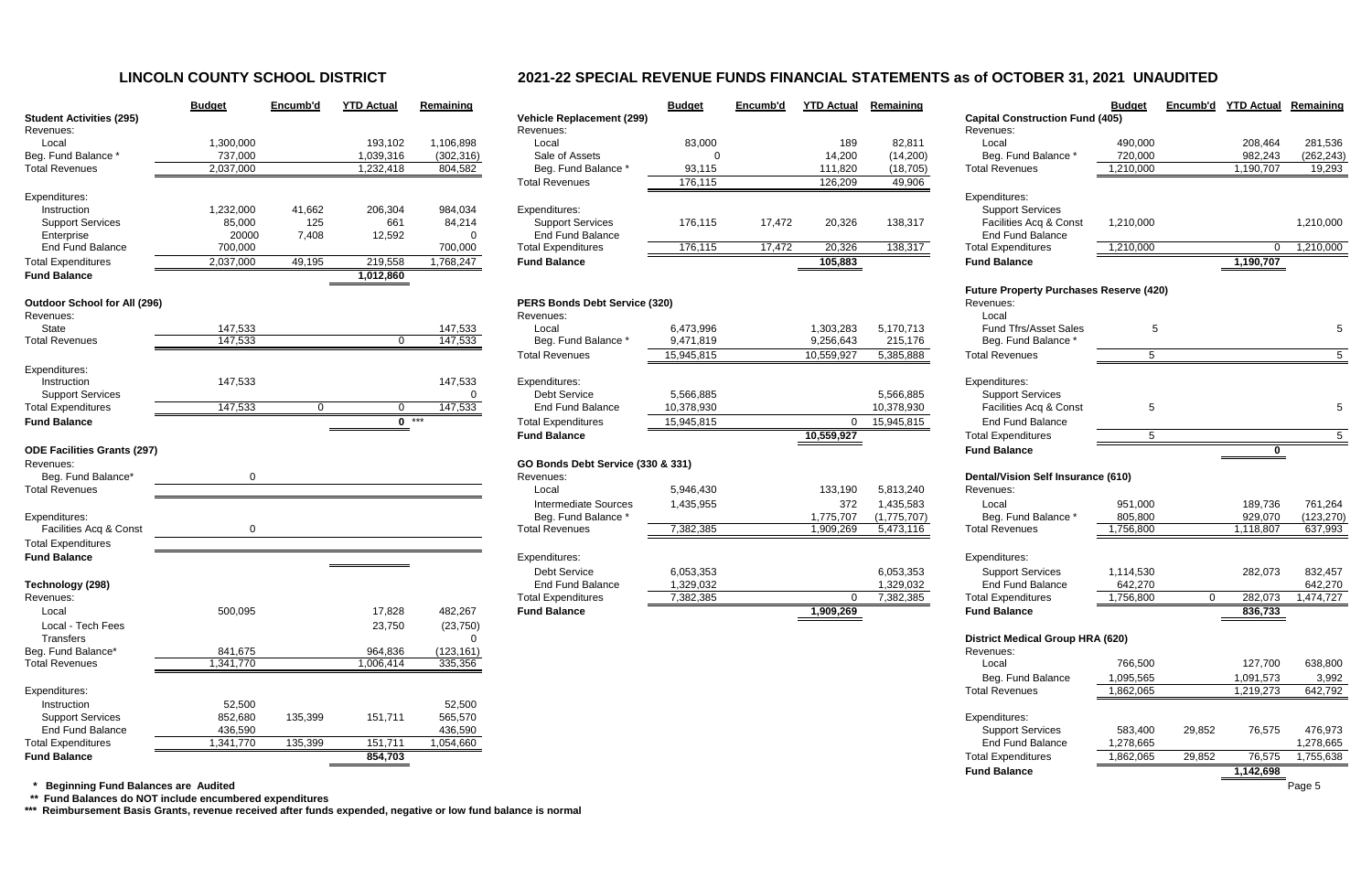# **LINCOLN COUNTY SCHOOL DISTRICT 2021-22 SPECIAL REVENUE FUNDS FINANCIAL STATEMENTS as of OCTOBER 31, 2021 UNAUDITED**

|                                            | <b>Budget</b> | Encumb'd | <b>YTD Actual</b> | Remaining  |                                                  | <b>Budget</b>           | Encumb'd | <b>YTD Actual</b>  | <b>Remaining</b> |                                                  | <b>Budget</b>  |          | Encumb'd YTD Actual | Remaining   |
|--------------------------------------------|---------------|----------|-------------------|------------|--------------------------------------------------|-------------------------|----------|--------------------|------------------|--------------------------------------------------|----------------|----------|---------------------|-------------|
| <b>Student Activities (295)</b>            |               |          |                   |            | <b>Vehicle Replacement (299)</b>                 |                         |          |                    |                  | <b>Capital Construction Fund (405)</b>           |                |          |                     |             |
| Revenues:                                  |               |          |                   |            | Revenues:                                        |                         |          |                    |                  | Revenues:                                        |                |          |                     |             |
| Local                                      | 1,300,000     |          | 193,102           | 1,106,898  | Local                                            | 83,000                  |          | 189                | 82,811           | Local                                            | 490,000        |          | 208,464             | 281,536     |
| Beg. Fund Balance                          | 737,000       |          | 1,039,316         | (302, 316) | Sale of Assets                                   |                         |          | 14,200             | (14,200)         | Beg. Fund Balance                                | 720,000        |          | 982,243             | (262, 243)  |
| <b>Total Revenues</b>                      | 2,037,000     |          | 1,232,418         | 804,582    | Beg. Fund Balance *<br><b>Total Revenues</b>     | 93,115                  |          | 111,820<br>126,209 | (18, 705)        | <b>Total Revenues</b>                            | 1,210,000      |          | 1,190,707           | 19,293      |
| Expenditures:                              |               |          |                   |            |                                                  | 176,115                 |          |                    | 49,906           | Expenditures:                                    |                |          |                     |             |
| Instruction                                | 1,232,000     | 41,662   | 206,304           | 984,034    | Expenditures:                                    |                         |          |                    |                  | <b>Support Services</b>                          |                |          |                     |             |
| <b>Support Services</b>                    | 85,000        | 125      | 661               | 84,214     | <b>Support Services</b>                          | 176,115                 | 17,472   | 20,326             | 138,317          | Facilities Acq & Const                           | 1,210,000      |          |                     | 1,210,000   |
| Enterprise                                 | 20000         | 7,408    | 12,592            | 0          | <b>End Fund Balance</b>                          |                         |          |                    |                  | <b>End Fund Balance</b>                          |                |          |                     |             |
| <b>End Fund Balance</b>                    | 700,000       |          |                   | 700,000    | <b>Total Expenditures</b>                        | 176,115                 | 17,472   | 20,326             | 138,317          | <b>Total Expenditures</b>                        | 1,210,000      |          | $\Omega$            | 1,210,000   |
| <b>Total Expenditures</b>                  | 2,037,000     | 49,195   | 219,558           | 1,768,247  | <b>Fund Balance</b>                              |                         |          | 105,883            |                  | <b>Fund Balance</b>                              |                |          | 1,190,707           |             |
| <b>Fund Balance</b>                        |               |          | 1,012,860         |            |                                                  |                         |          |                    |                  |                                                  |                |          |                     |             |
|                                            |               |          |                   |            |                                                  |                         |          |                    |                  | <b>Future Property Purchases Reserve (420)</b>   |                |          |                     |             |
| <b>Outdoor School for All (296)</b>        |               |          |                   |            | PERS Bonds Debt Service (320)                    |                         |          |                    |                  | Revenues:                                        |                |          |                     |             |
| Revenues:                                  |               |          |                   |            | Revenues:                                        |                         |          |                    |                  | Local                                            |                |          |                     |             |
| State                                      | 147,533       |          |                   | 147,533    | Local                                            | 6,473,996               |          | 1,303,283          | 5,170,713        | <b>Fund Tfrs/Asset Sales</b>                     |                |          |                     |             |
| <b>Total Revenues</b>                      | 147,533       |          | $\Omega$          | 147,533    | Beg. Fund Balance *                              | 9,471,819               |          | 9,256,643          | 215,176          | Beg. Fund Balance                                |                |          |                     |             |
|                                            |               |          |                   |            | <b>Total Revenues</b>                            | 15,945,815              |          | 10,559,927         | 5,385,888        | <b>Total Revenues</b>                            | $\overline{5}$ |          |                     | $5^{\circ}$ |
| Expenditures:                              |               |          |                   |            |                                                  |                         |          |                    |                  |                                                  |                |          |                     |             |
| Instruction                                | 147,533       |          |                   | 147,533    | Expenditures:                                    |                         |          |                    |                  | Expenditures:                                    |                |          |                     |             |
| <b>Support Services</b>                    |               | $\Omega$ |                   | 0          | <b>Debt Service</b><br><b>End Fund Balance</b>   | 5,566,885<br>10,378,930 |          |                    | 5,566,885        | <b>Support Services</b>                          |                |          |                     |             |
| <b>Total Expenditures</b>                  | 147,533       |          | $\Omega$          | 147,533    |                                                  |                         |          |                    | 10,378,930       | Facilities Acq & Const                           | -5             |          |                     |             |
| <b>Fund Balance</b>                        |               |          | $0$ ***           |            | <b>Total Expenditures</b><br><b>Fund Balance</b> | 15,945,815              |          | $\Omega$           | 15,945,815       | <b>End Fund Balance</b>                          | $\overline{5}$ |          |                     |             |
| <b>ODE Facilities Grants (297)</b>         |               |          |                   |            |                                                  |                         |          | 10,559,927         |                  | <b>Total Expenditures</b><br><b>Fund Balance</b> |                |          | 0                   |             |
| Revenues:                                  |               |          |                   |            | GO Bonds Debt Service (330 & 331)                |                         |          |                    |                  |                                                  |                |          |                     |             |
| Beg. Fund Balance*                         |               |          |                   |            | Revenues:                                        |                         |          |                    |                  | <b>Dental/Vision Self Insurance (610)</b>        |                |          |                     |             |
| <b>Total Revenues</b>                      |               |          |                   |            | Local                                            | 5,946,430               |          | 133,190            | 5,813,240        | Revenues:                                        |                |          |                     |             |
|                                            |               |          |                   |            | <b>Intermediate Sources</b>                      | 1,435,955               |          | 372                | 1,435,583        | Local                                            | 951,000        |          | 189,736             | 761,264     |
| Expenditures:                              |               |          |                   |            | Beg. Fund Balance *                              |                         |          | 1,775,707          | (1,775,707)      | Beg. Fund Balance '                              | 805,800        |          | 929,070             | (123, 270)  |
| Facilities Acq & Const                     | $\mathbf{0}$  |          |                   |            | <b>Total Revenues</b>                            | 7,382,385               |          | 1,909,269          | 5,473,116        | <b>Total Revenues</b>                            | 1,756,800      |          | 1,118,807           | 637,993     |
| <b>Total Expenditures</b>                  |               |          |                   |            |                                                  |                         |          |                    |                  |                                                  |                |          |                     |             |
| <b>Fund Balance</b>                        |               |          |                   |            | Expenditures:                                    |                         |          |                    |                  | Expenditures:                                    |                |          |                     |             |
|                                            |               |          |                   |            | <b>Debt Service</b>                              | 6,053,353               |          |                    | 6,053,353        | <b>Support Services</b>                          | 1,114,530      |          | 282,073             | 832,457     |
| Technology (298)                           |               |          |                   |            | <b>End Fund Balance</b>                          | 1,329,032               |          |                    | 1,329,032        | <b>End Fund Balance</b>                          | 642,270        |          |                     | 642,270     |
| Revenues:                                  |               |          |                   |            | <b>Total Expenditures</b>                        | 7,382,385               |          | $\overline{0}$     | 7,382,385        | <b>Total Expenditures</b>                        | 1,756,800      | $\Omega$ | 282,073             | 1,474,727   |
| Local                                      | 500,095       |          | 17,828            | 482,267    | <b>Fund Balance</b>                              |                         |          | 1,909,269          |                  | <b>Fund Balance</b>                              |                |          | 836,733             |             |
| Local - Tech Fees                          |               |          | 23,750            | (23, 750)  |                                                  |                         |          |                    |                  |                                                  |                |          |                     |             |
| Transfers                                  |               |          |                   | 0          |                                                  |                         |          |                    |                  | <b>District Medical Group HRA (620)</b>          |                |          |                     |             |
| Beg. Fund Balance*                         | 841,675       |          | 964,836           | (123, 161) |                                                  |                         |          |                    |                  | Revenues:                                        |                |          |                     |             |
| <b>Total Revenues</b>                      | 1,341,770     |          | 1,006,414         | 335,356    |                                                  |                         |          |                    |                  | Local                                            | 766,500        |          | 127,700             | 638,800     |
|                                            |               |          |                   |            |                                                  |                         |          |                    |                  | Beg. Fund Balance                                | 1,095,565      |          | 1,091,573           | 3,992       |
| Expenditures:                              |               |          |                   |            |                                                  |                         |          |                    |                  | <b>Total Revenues</b>                            | 1,862,065      |          | 1,219,273           | 642,792     |
| Instruction                                | 52,500        |          |                   | 52,500     |                                                  |                         |          |                    |                  |                                                  |                |          |                     |             |
| <b>Support Services</b>                    | 852,680       | 135,399  | 151,711           | 565,570    |                                                  |                         |          |                    |                  | Expenditures:                                    |                |          |                     |             |
| <b>End Fund Balance</b>                    | 436,590       |          |                   | 436,590    |                                                  |                         |          |                    |                  | <b>Support Services</b>                          | 583,400        | 29,852   | 76,575              | 476,973     |
| <b>Total Expenditures</b>                  | 1,341,770     | 135,399  | 151,711           | 1,054,660  |                                                  |                         |          |                    |                  | End Fund Balance                                 | 1,278,665      |          |                     | 1,278,665   |
| <b>Fund Balance</b>                        |               |          | 854,703           |            |                                                  |                         |          |                    |                  | <b>Total Expenditures</b>                        | 1,862,065      | 29,852   | 76,575              | 1,755,638   |
|                                            |               |          |                   |            |                                                  |                         |          |                    |                  | <b>Fund Balance</b>                              |                |          | 1,142,698           |             |
| <b>Beginning Fund Balances are Audited</b> |               |          |                   |            |                                                  |                         |          |                    |                  |                                                  |                |          |                     | Page 5      |

|                                     | <b>Budget</b> | Encumb'd | <b>YTD Actual</b> | Remaining  |                                   | <b>Bud</b>      |
|-------------------------------------|---------------|----------|-------------------|------------|-----------------------------------|-----------------|
| <b>Student Activities (295)</b>     |               |          |                   |            | <b>Vehicle Replacement (299)</b>  |                 |
| Revenues:                           |               |          |                   |            | Revenues:                         |                 |
| Local                               | 1,300,000     |          | 193,102           | 1,106,898  | Local                             | 8               |
| Beg. Fund Balance *                 | 737,000       |          | 1,039,316         | (302, 316) | Sale of Assets                    |                 |
| <b>Total Revenues</b>               | 2,037,000     |          | 1,232,418         | 804,582    | Beg. Fund Balance *               | 9               |
|                                     |               |          |                   |            | <b>Total Revenues</b>             | 17              |
| Expenditures:                       |               |          |                   |            |                                   |                 |
| Instruction                         | 1,232,000     | 41,662   | 206,304           | 984,034    | Expenditures:                     |                 |
| <b>Support Services</b>             | 85,000        | 125      | 661               | 84,214     | <b>Support Services</b>           | 17              |
| Enterprise                          | 20000         | 7,408    | 12,592            | 0          | <b>End Fund Balance</b>           |                 |
| <b>End Fund Balance</b>             | 700,000       |          |                   | 700,000    | <b>Total Expenditures</b>         | $\overline{17}$ |
| <b>Total Expenditures</b>           | 2,037,000     | 49,195   | 219,558           | 1,768,247  | <b>Fund Balance</b>               |                 |
| <b>Fund Balance</b>                 |               |          | 1,012,860         |            |                                   |                 |
|                                     |               |          |                   |            |                                   |                 |
| <b>Outdoor School for All (296)</b> |               |          |                   |            | PERS Bonds Debt Service (320)     |                 |
| Revenues:                           |               |          |                   |            | Revenues:                         |                 |
| <b>State</b>                        | 147,533       |          |                   | 147,533    | Local                             | 6,47            |
| <b>Total Revenues</b>               | 147,533       |          | 0                 | 147,533    | Beg. Fund Balance *               | 9,47            |
|                                     |               |          |                   |            | <b>Total Revenues</b>             | 15,94           |
| Expenditures:                       |               |          |                   |            |                                   |                 |
| Instruction                         | 147,533       |          |                   | 147,533    | Expenditures:                     |                 |
| <b>Support Services</b>             |               |          |                   | 0          | <b>Debt Service</b>               | 5,56            |
| <b>Total Expenditures</b>           | 147,533       | 0        | 0                 | 147,533    | <b>End Fund Balance</b>           | 10,37           |
| <b>Fund Balance</b>                 |               |          | 0                 |            |                                   |                 |
|                                     |               |          |                   |            | <b>Total Expenditures</b>         | 15,94           |
|                                     |               |          |                   |            | <b>Fund Balance</b>               |                 |
| <b>ODE Facilities Grants (297)</b>  |               |          |                   |            |                                   |                 |
| Revenues:                           |               |          |                   |            | GO Bonds Debt Service (330 & 331) |                 |
| Beg. Fund Balance*                  | 0             |          |                   |            | Revenues:                         |                 |
| <b>Total Revenues</b>               |               |          |                   |            | Local                             | 5,94            |
|                                     |               |          |                   |            | <b>Intermediate Sources</b>       | 1,43            |
| Expenditures:                       |               |          |                   |            | Beg. Fund Balance *               |                 |
| Facilities Acq & Const              | 0             |          |                   |            | <b>Total Revenues</b>             | 7,38            |
| <b>Total Expenditures</b>           |               |          |                   |            |                                   |                 |
| <b>Fund Balance</b>                 |               |          |                   |            | Expenditures:                     |                 |
|                                     |               |          |                   |            | <b>Debt Service</b>               | 6,05            |
| Technology (298)                    |               |          |                   |            | <b>End Fund Balance</b>           | 1,32            |
| Revenues:                           |               |          |                   |            | <b>Total Expenditures</b>         | 7,38            |
| Local                               | 500,095       |          | 17,828            | 482,267    | <b>Fund Balance</b>               |                 |
| Local - Tech Fees                   |               |          | 23,750            | (23, 750)  |                                   |                 |
| <b>Transfers</b>                    |               |          |                   | 0          |                                   |                 |
| Beg. Fund Balance*                  | 841,675       |          | 964,836           | (123, 161) |                                   |                 |
| <b>Total Revenues</b>               | 1,341,770     |          | 1,006,414         | 335,356    |                                   |                 |
|                                     |               |          |                   |            |                                   |                 |
| Expenditures:                       |               |          |                   |            |                                   |                 |
| Instruction                         | 52,500        |          |                   | 52,500     |                                   |                 |
| <b>Support Services</b>             | 852,680       | 135,399  | 151,711           | 565,570    |                                   |                 |
| <b>End Fund Balance</b>             | 436,590       |          |                   | 436,590    |                                   |                 |
| <b>Total Expenditures</b>           | 1,341,770     | 135,399  | 151,711           | 1,054,660  |                                   |                 |
| <b>Fund Balance</b>                 |               |          | 854,703           |            |                                   |                 |
|                                     |               |          |                   |            |                                   |                 |

 **\*\* Fund Balances do NOT include encumbered expenditures**

**\*\*\* Reimbursement Basis Grants, revenue received after funds expended, negative or low fund balance is normal**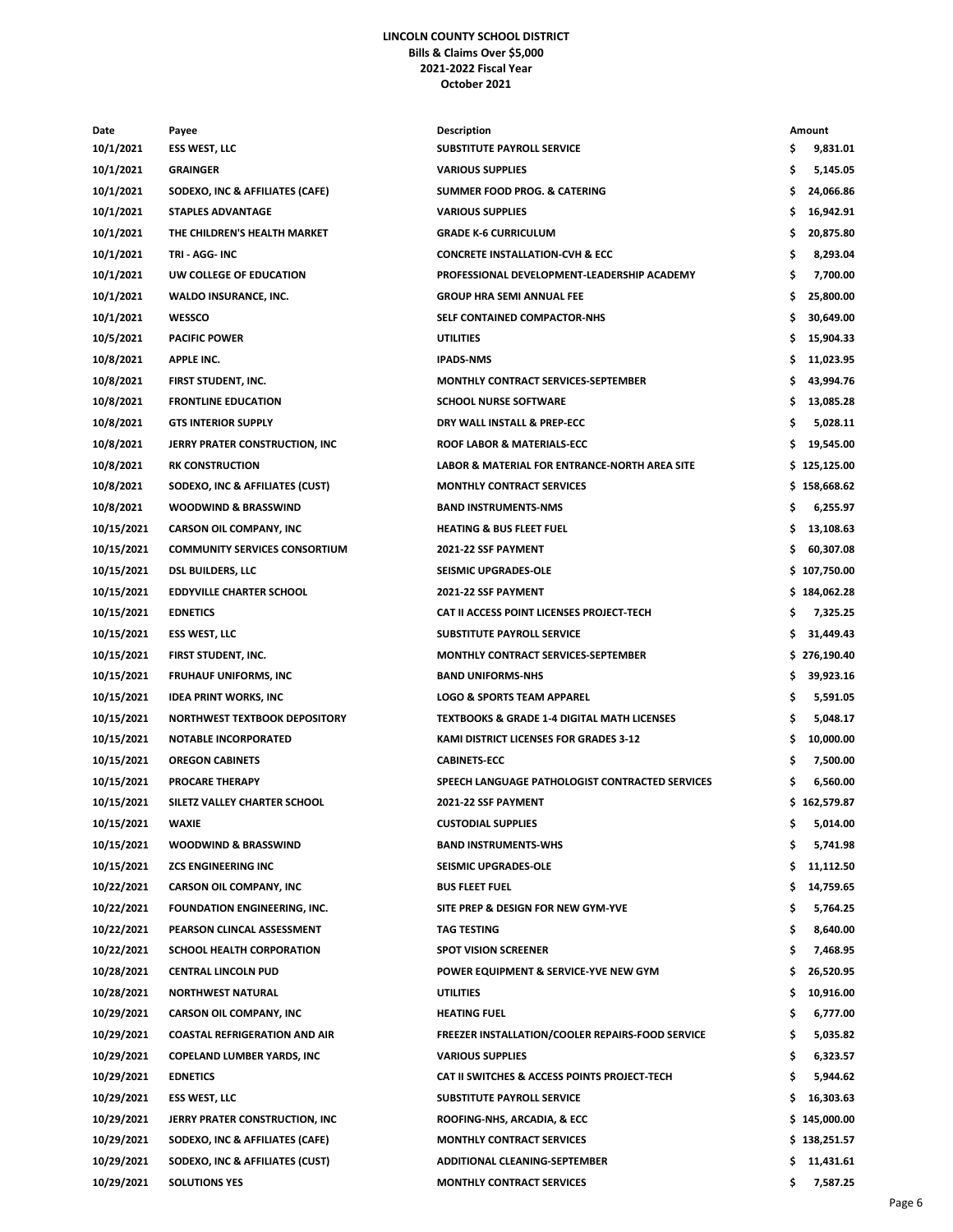## **LINCOLN COUNTY SCHOOL DISTRICT Bills & Claims Over \$5,000 2021-2022 Fiscal Year October 2021**

| Date       | Payee                                | <b>Description</b>                                      | Amount          |
|------------|--------------------------------------|---------------------------------------------------------|-----------------|
| 10/1/2021  | <b>ESS WEST, LLC</b>                 | SUBSTITUTE PAYROLL SERVICE                              | \$<br>9,831.01  |
| 10/1/2021  | <b>GRAINGER</b>                      | <b>VARIOUS SUPPLIES</b>                                 | \$<br>5,145.05  |
| 10/1/2021  | SODEXO, INC & AFFILIATES (CAFE)      | SUMMER FOOD PROG. & CATERING                            | \$<br>24,066.86 |
| 10/1/2021  | <b>STAPLES ADVANTAGE</b>             | <b>VARIOUS SUPPLIES</b>                                 | \$<br>16,942.91 |
| 10/1/2021  | THE CHILDREN'S HEALTH MARKET         | <b>GRADE K-6 CURRICULUM</b>                             | \$<br>20,875.80 |
| 10/1/2021  | TRI - AGG- INC                       | <b>CONCRETE INSTALLATION-CVH &amp; ECC</b>              | \$<br>8,293.04  |
| 10/1/2021  | UW COLLEGE OF EDUCATION              | PROFESSIONAL DEVELOPMENT-LEADERSHIP ACADEMY             | \$<br>7,700.00  |
| 10/1/2021  | WALDO INSURANCE, INC.                | <b>GROUP HRA SEMI ANNUAL FEE</b>                        | \$<br>25,800.00 |
| 10/1/2021  | WESSCO                               | SELF CONTAINED COMPACTOR-NHS                            | \$<br>30,649.00 |
| 10/5/2021  | <b>PACIFIC POWER</b>                 | <b>UTILITIES</b>                                        | \$<br>15,904.33 |
| 10/8/2021  | <b>APPLE INC.</b>                    | <b>IPADS-NMS</b>                                        | \$<br>11,023.95 |
| 10/8/2021  | FIRST STUDENT, INC.                  | <b>MONTHLY CONTRACT SERVICES-SEPTEMBER</b>              | \$<br>43,994.76 |
| 10/8/2021  | <b>FRONTLINE EDUCATION</b>           | <b>SCHOOL NURSE SOFTWARE</b>                            | \$<br>13,085.28 |
| 10/8/2021  | <b>GTS INTERIOR SUPPLY</b>           | DRY WALL INSTALL & PREP-ECC                             | \$<br>5,028.11  |
| 10/8/2021  | JERRY PRATER CONSTRUCTION, INC.      | ROOF LABOR & MATERIALS-ECC                              | \$<br>19,545.00 |
| 10/8/2021  | <b>RK CONSTRUCTION</b>               | LABOR & MATERIAL FOR ENTRANCE-NORTH AREA SITE           | \$125,125.00    |
| 10/8/2021  | SODEXO, INC & AFFILIATES (CUST)      | <b>MONTHLY CONTRACT SERVICES</b>                        | \$158,668.62    |
| 10/8/2021  | <b>WOODWIND &amp; BRASSWIND</b>      | <b>BAND INSTRUMENTS-NMS</b>                             | \$<br>6,255.97  |
| 10/15/2021 | <b>CARSON OIL COMPANY, INC</b>       | <b>HEATING &amp; BUS FLEET FUEL</b>                     | \$<br>13,108.63 |
| 10/15/2021 | <b>COMMUNITY SERVICES CONSORTIUM</b> | 2021-22 SSF PAYMENT                                     | \$<br>60,307.08 |
| 10/15/2021 | <b>DSL BUILDERS, LLC</b>             | SEISMIC UPGRADES-OLE                                    | \$107,750.00    |
| 10/15/2021 | <b>EDDYVILLE CHARTER SCHOOL</b>      | 2021-22 SSF PAYMENT                                     | \$184,062.28    |
| 10/15/2021 | <b>EDNETICS</b>                      | CAT II ACCESS POINT LICENSES PROJECT-TECH               | \$<br>7,325.25  |
| 10/15/2021 | <b>ESS WEST, LLC</b>                 | <b>SUBSTITUTE PAYROLL SERVICE</b>                       | \$<br>31,449.43 |
| 10/15/2021 | FIRST STUDENT, INC.                  | <b>MONTHLY CONTRACT SERVICES-SEPTEMBER</b>              | \$276,190.40    |
| 10/15/2021 | <b>FRUHAUF UNIFORMS, INC</b>         | <b>BAND UNIFORMS-NHS</b>                                | \$<br>39,923.16 |
| 10/15/2021 | <b>IDEA PRINT WORKS, INC</b>         | <b>LOGO &amp; SPORTS TEAM APPAREL</b>                   | \$<br>5,591.05  |
| 10/15/2021 | NORTHWEST TEXTBOOK DEPOSITORY        | <b>TEXTBOOKS &amp; GRADE 1-4 DIGITAL MATH LICENSES</b>  | \$<br>5,048.17  |
| 10/15/2021 | <b>NOTABLE INCORPORATED</b>          | KAMI DISTRICT LICENSES FOR GRADES 3-12                  | \$<br>10,000.00 |
| 10/15/2021 | <b>OREGON CABINETS</b>               | <b>CABINETS-ECC</b>                                     | \$<br>7,500.00  |
| 10/15/2021 | <b>PROCARE THERAPY</b>               | SPEECH LANGUAGE PATHOLOGIST CONTRACTED SERVICES         | \$<br>6,560.00  |
| 10/15/2021 | SILETZ VALLEY CHARTER SCHOOL         | 2021-22 SSF PAYMENT                                     | \$162,579.87    |
| 10/15/2021 | WAXIE                                | <b>CUSTODIAL SUPPLIES</b>                               | \$<br>5,014.00  |
| 10/15/2021 | <b>WOODWIND &amp; BRASSWIND</b>      | <b>BAND INSTRUMENTS-WHS</b>                             | \$<br>5,741.98  |
| 10/15/2021 | <b>ZCS ENGINEERING INC</b>           | <b>SEISMIC UPGRADES-OLE</b>                             | \$<br>11,112.50 |
| 10/22/2021 | <b>CARSON OIL COMPANY, INC</b>       | <b>BUS FLEET FUEL</b>                                   | \$<br>14,759.65 |
| 10/22/2021 | FOUNDATION ENGINEERING, INC.         | SITE PREP & DESIGN FOR NEW GYM-YVE                      | \$<br>5,764.25  |
| 10/22/2021 | PEARSON CLINCAL ASSESSMENT           | TAG TESTING                                             | \$<br>8,640.00  |
| 10/22/2021 | SCHOOL HEALTH CORPORATION            | <b>SPOT VISION SCREENER</b>                             | \$<br>7,468.95  |
| 10/28/2021 | <b>CENTRAL LINCOLN PUD</b>           | POWER EQUIPMENT & SERVICE-YVE NEW GYM                   | \$<br>26,520.95 |
| 10/28/2021 | <b>NORTHWEST NATURAL</b>             | <b>UTILITIES</b>                                        | \$<br>10,916.00 |
| 10/29/2021 | <b>CARSON OIL COMPANY, INC</b>       | <b>HEATING FUEL</b>                                     | \$<br>6,777.00  |
| 10/29/2021 | <b>COASTAL REFRIGERATION AND AIR</b> | <b>FREEZER INSTALLATION/COOLER REPAIRS-FOOD SERVICE</b> | \$<br>5,035.82  |
| 10/29/2021 | <b>COPELAND LUMBER YARDS, INC</b>    | <b>VARIOUS SUPPLIES</b>                                 | \$<br>6,323.57  |
| 10/29/2021 | <b>EDNETICS</b>                      | CAT II SWITCHES & ACCESS POINTS PROJECT-TECH            | \$<br>5,944.62  |
| 10/29/2021 | <b>ESS WEST, LLC</b>                 | SUBSTITUTE PAYROLL SERVICE                              | \$<br>16,303.63 |
| 10/29/2021 | JERRY PRATER CONSTRUCTION, INC       | ROOFING-NHS, ARCADIA, & ECC                             | \$145,000.00    |
| 10/29/2021 | SODEXO, INC & AFFILIATES (CAFE)      | <b>MONTHLY CONTRACT SERVICES</b>                        | \$138,251.57    |
| 10/29/2021 | SODEXO, INC & AFFILIATES (CUST)      | ADDITIONAL CLEANING-SEPTEMBER                           | \$<br>11,431.61 |
| 10/29/2021 | <b>SOLUTIONS YES</b>                 | <b>MONTHLY CONTRACT SERVICES</b>                        | \$<br>7,587.25  |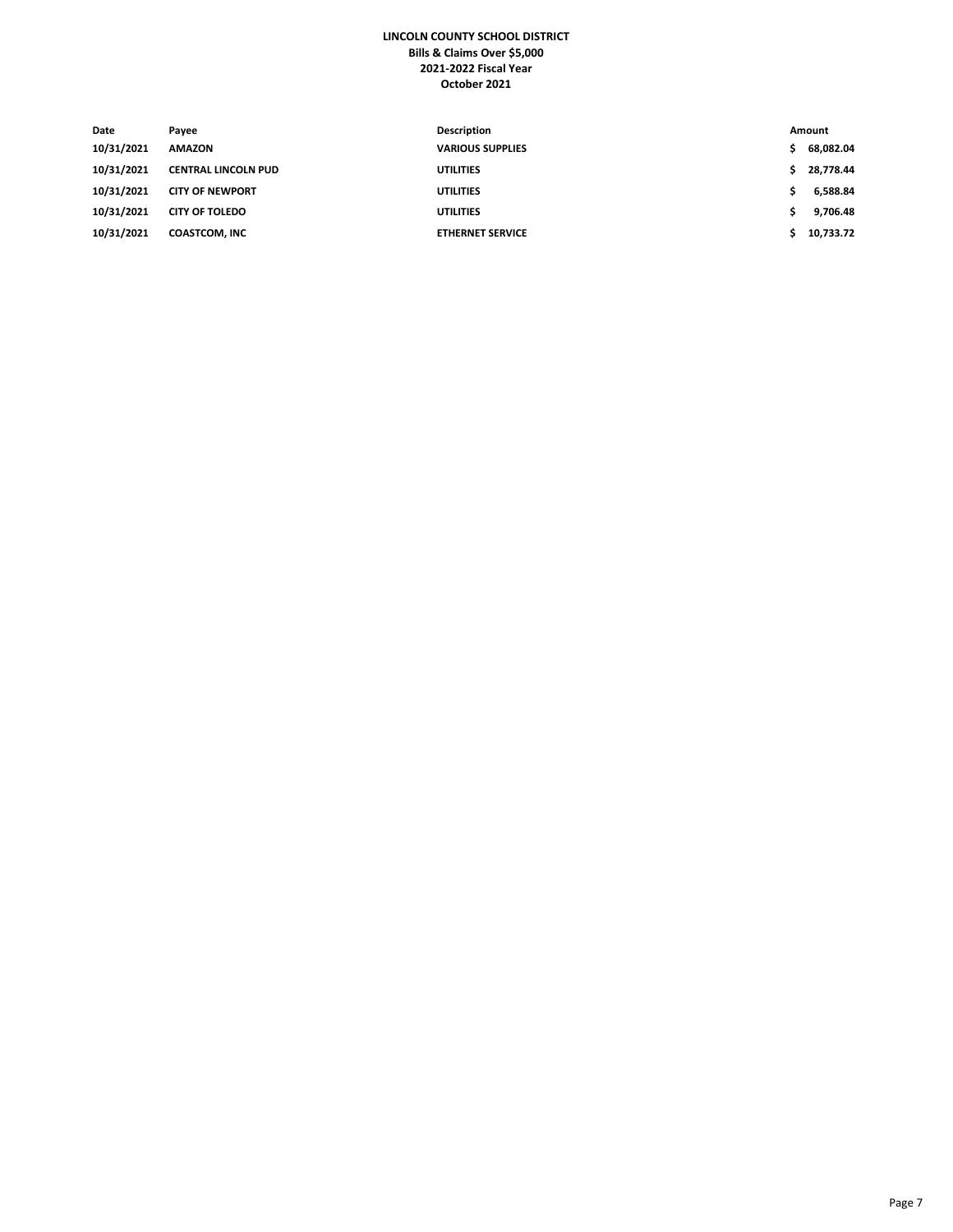## **LINCOLN COUNTY SCHOOL DISTRICT Bills & Claims Over \$5,000 2021-2022 Fiscal Year October 2021**

| Date       | Payee                      | Description             |    | Amount    |
|------------|----------------------------|-------------------------|----|-----------|
| 10/31/2021 | <b>AMAZON</b>              | <b>VARIOUS SUPPLIES</b> | s. | 68,082.04 |
| 10/31/2021 | <b>CENTRAL LINCOLN PUD</b> | <b>UTILITIES</b>        |    | 28.778.44 |
| 10/31/2021 | <b>CITY OF NEWPORT</b>     | <b>UTILITIES</b>        |    | 6,588.84  |
| 10/31/2021 | <b>CITY OF TOLEDO</b>      | <b>UTILITIES</b>        |    | 9,706.48  |
| 10/31/2021 | <b>COASTCOM, INC</b>       | <b>ETHERNET SERVICE</b> |    | 10,733.72 |